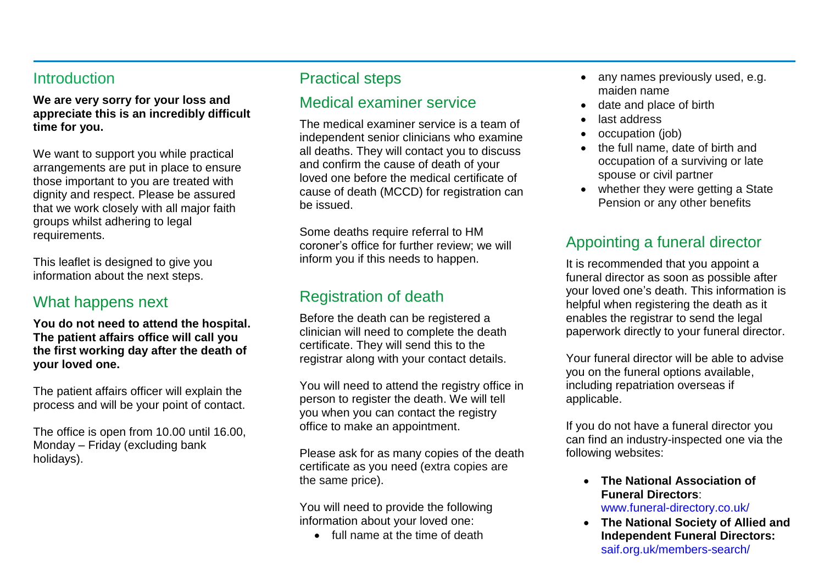#### **Introduction**

**We are very sorry for your loss and appreciate this is an incredibly difficult time for you.**

We want to support you while practical arrangements are put in place to ensure those important to you are treated with dignity and respect. Please be assured that we work closely with all major faith groups whilst adhering to legal requirements.

This leaflet is designed to give you information about the next steps.

## What happens next

**You do not need to attend the hospital. The patient affairs office will call you the first working day after the death of your loved one.**

The patient affairs officer will explain the process and will be your point of contact.

The office is open from 10.00 until 16.00, Monday – Friday (excluding bank holidays).

## Practical steps

#### Medical examiner service

The medical examiner service is a team of independent senior clinicians who examine all deaths. They will contact you to discuss and confirm the cause of death of your loved one before the medical certificate of cause of death (MCCD) for registration can be issued.

Some deaths require referral to HM coroner's office for further review; we will inform you if this needs to happen.

# Registration of death

Before the death can be registered a clinician will need to complete the death certificate. They will send this to the registrar along with your contact details.

You will need to attend the registry office in person to register the death. We will tell you when you can contact the registry office to make an appointment.

Please ask for as many copies of the death certificate as you need (extra copies are the same price).

You will need to provide the following information about your loved one:

• full name at the time of death

- any names previously used, e.g. maiden name
- date and place of birth
- last address
- occupation (job)
- the full name, date of birth and occupation of a surviving or late spouse or civil partner
- whether they were getting a State Pension or any other benefits

## Appointing a funeral director

It is recommended that you appoint a funeral director as soon as possible after your loved one's death. This information is helpful when registering the death as it enables the registrar to send the legal paperwork directly to your funeral director.

Your funeral director will be able to advise you on the funeral options available, including repatriation overseas if applicable.

If you do not have a funeral director you can find an industry-inspected one via the following websites:

- **The National Association of Funeral Directors**: [www.funeral-directory.co.uk/](http://www.funeral-directory.co.uk/)
- **The National Society of Allied and Independent Funeral Directors:**  [saif.org.uk/members-search/](https://saif.org.uk/members-search/)